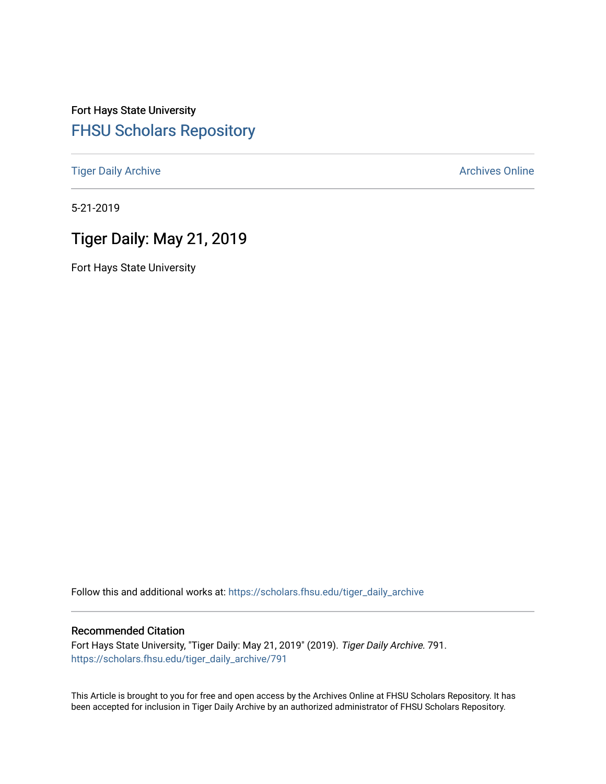# Fort Hays State University [FHSU Scholars Repository](https://scholars.fhsu.edu/)

[Tiger Daily Archive](https://scholars.fhsu.edu/tiger_daily_archive) **Archives** Online Archives Online

5-21-2019

# Tiger Daily: May 21, 2019

Fort Hays State University

Follow this and additional works at: [https://scholars.fhsu.edu/tiger\\_daily\\_archive](https://scholars.fhsu.edu/tiger_daily_archive?utm_source=scholars.fhsu.edu%2Ftiger_daily_archive%2F791&utm_medium=PDF&utm_campaign=PDFCoverPages)

#### Recommended Citation

Fort Hays State University, "Tiger Daily: May 21, 2019" (2019). Tiger Daily Archive. 791. [https://scholars.fhsu.edu/tiger\\_daily\\_archive/791](https://scholars.fhsu.edu/tiger_daily_archive/791?utm_source=scholars.fhsu.edu%2Ftiger_daily_archive%2F791&utm_medium=PDF&utm_campaign=PDFCoverPages)

This Article is brought to you for free and open access by the Archives Online at FHSU Scholars Repository. It has been accepted for inclusion in Tiger Daily Archive by an authorized administrator of FHSU Scholars Repository.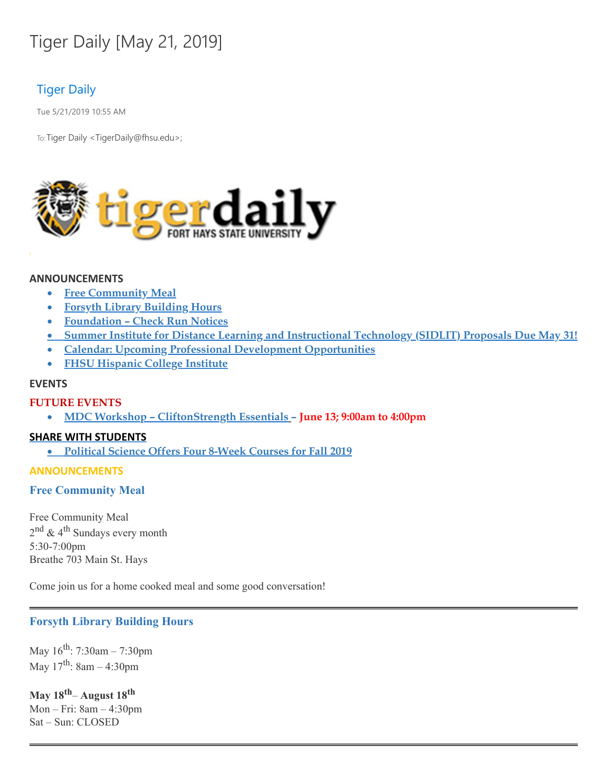# Tiger Daily [May 21, 2019]

# Tiger Daily

Tue 5/21/2019 10:55 AM

To: Tiger Daily < TigerDaily@fhsu.edu>;



#### **ANNOUNCEMENTS**

- · **Free Community Meal**
- · **Forsyth Library Building Hours**
- · **Foundation – Check Run Notices**
- · **Summer Institute for Distance Learning and Instructional Technology (SIDLIT) Proposals Due May 31!**
- · **Calendar: Upcoming Professional Development Opportunities**
- · **FHSU Hispanic College Institute**

### **EVENTS**

# **FUTURE EVENTS**

· **MDC Workshop – CliftonStrength Essentials – June 13; 9:00am to 4:00pm**

# **SHARE WITH STUDENTS**

· **Political Science Offers Four 8-Week Courses for Fall 2019**

#### **ANNOUNCEMENTS**

# **Free Community Meal**

Free Community Meal 2<sup>nd</sup> & 4<sup>th</sup> Sundays every month 5:30-7:00pm Breathe 703 Main St. Hays

Come join us for a home cooked meal and some good conversation!

# **Forsyth Library Building Hours**

May 16<sup>th</sup>: 7:30am – 7:30pm May 17<sup>th</sup>: 8am – 4:30pm

**May 18 th**– **August 18 th** Mon – Fri: 8am – 4:30pm Sat – Sun: CLOSED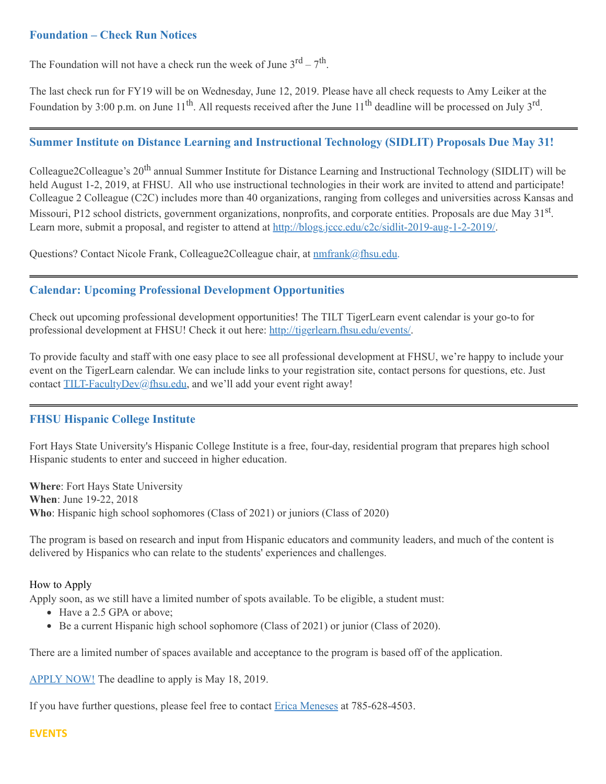# **Foundation – Check Run Notices**

The Foundation will not have a check run the week of June  $3^{rd} - 7^{th}$ .

The last check run for FY19 will be on Wednesday, June 12, 2019. Please have all check requests to Amy Leiker at the Foundation by 3:00 p.m. on June 11<sup>th</sup>. All requests received after the June 11<sup>th</sup> deadline will be processed on July 3<sup>rd</sup>.

# **Summer Institute on Distance Learning and Instructional Technology (SIDLIT) Proposals Due May 31!**

Colleague2Colleague's 20<sup>th</sup> annual Summer Institute for Distance Learning and Instructional Technology (SIDLIT) will be held August 1-2, 2019, at FHSU. All who use instructional technologies in their work are invited to attend and participate! Colleague 2 Colleague (C2C) includes more than 40 organizations, ranging from colleges and universities across Kansas and Missouri, P12 school districts, government organizations, nonprofits, and corporate entities. Proposals are due May 31<sup>st</sup>. Learn more, submit a proposal, and register to attend at [http://blogs.jccc.edu/c2c/sidlit-2019-aug-1-2-2019/.](http://blogs.jccc.edu/c2c/sidlit-2019-aug-1-2-2019/)

Questions? Contact Nicole Frank, Colleague2Colleague chair, at **[nmfrank@fhsu.edu.](mailto:nmfrank@fhsu.edu)** 

# **Calendar: Upcoming Professional Development Opportunities**

Check out upcoming professional development opportunities! The TILT TigerLearn event calendar is your go-to for professional development at FHSU! Check it out here: <http://tigerlearn.fhsu.edu/events/>.

To provide faculty and staff with one easy place to see all professional development at FHSU, we're happy to include your event on the TigerLearn calendar. We can include links to your registration site, contact persons for questions, etc. Just contact [TILT-FacultyDev@fhsu.edu,](mailto:TILT-FacultyDev@fhsu.edu) and we'll add your event right away!

# **FHSU Hispanic College Institute**

Fort Hays State University's Hispanic College Institute is a free, four-day, residential program that prepares high school Hispanic students to enter and succeed in higher education.

**Where**: Fort Hays State University **When**: June 19-22, 2018 **Who**: Hispanic high school sophomores (Class of 2021) or juniors (Class of 2020)

The program is based on research and input from Hispanic educators and community leaders, and much of the content is delivered by Hispanics who can relate to the students' experiences and challenges.

#### How to Apply

Apply soon, as we still have a limited number of spots available. To be eligible, a student must:

- Have a 2.5 GPA or above;
- Be a current Hispanic high school sophomore (Class of 2021) or junior (Class of 2020).

There are a limited number of spaces available and acceptance to the program is based off of the application.

[APPLY](https://webapps.fhsu.edu/hciapplication/) NOW! The deadline to apply is May 18, 2019.

If you have further questions, please feel free to contact  $E$ rica [Meneses](mailto:mailto:h_perez@fhsu.edu?subject=mailto:h_perez@fhsu.edu) at 785-628-4503.

#### **EVENTS**